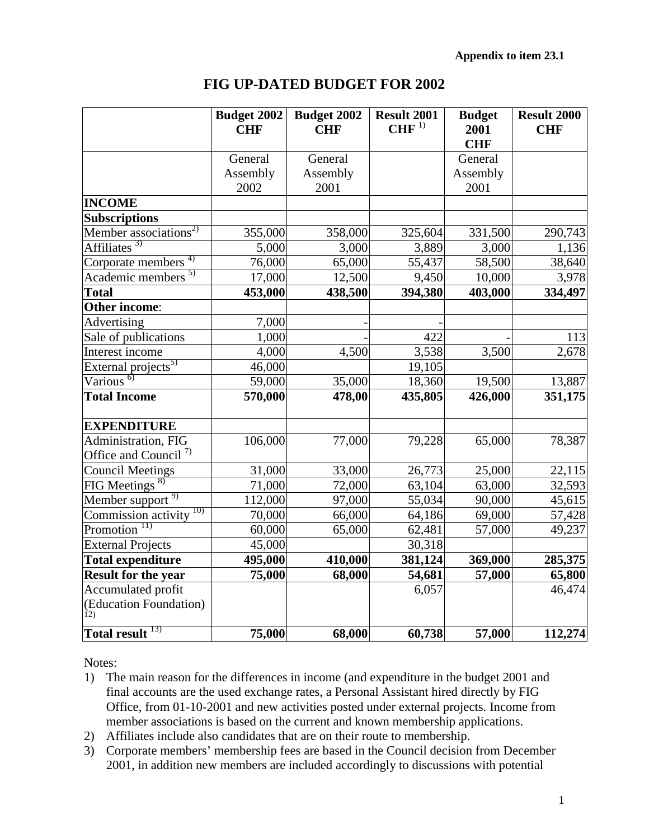| <b>FIG UP-DATED BUDGET FOR 2002</b> |
|-------------------------------------|
|-------------------------------------|

|                                   | <b>Budget 2002</b><br><b>CHF</b> | <b>Budget 2002</b><br><b>CHF</b> | Result 2001<br>CHF <sup>1</sup> | <b>Budget</b><br>2001<br><b>CHF</b> | <b>Result 2000</b><br><b>CHF</b> |
|-----------------------------------|----------------------------------|----------------------------------|---------------------------------|-------------------------------------|----------------------------------|
|                                   | General                          | General                          |                                 | General                             |                                  |
|                                   | Assembly                         | Assembly                         |                                 | Assembly                            |                                  |
|                                   | 2002                             | 2001                             |                                 | 2001                                |                                  |
| <b>INCOME</b>                     |                                  |                                  |                                 |                                     |                                  |
| <b>Subscriptions</b>              |                                  |                                  |                                 |                                     |                                  |
| Member associations <sup>2)</sup> | 355,000                          | 358,000                          | 325,604                         | 331,500                             | 290,743                          |
| Affiliates <sup>3)</sup>          | 5,000                            | 3,000                            | 3,889                           | 3,000                               | 1,136                            |
| Corporate members <sup>4)</sup>   | 76,000                           | 65,000                           | 55,437                          | 58,500                              | 38,640                           |
| Academic members <sup>5)</sup>    | 17,000                           | 12,500                           | 9,450                           | 10,000                              | 3,978                            |
| <b>Total</b>                      | 453,000                          | 438,500                          | 394,380                         | 403,000                             | 334,497                          |
| <b>Other income:</b>              |                                  |                                  |                                 |                                     |                                  |
| Advertising                       | 7,000                            |                                  |                                 |                                     |                                  |
| Sale of publications              | 1,000                            |                                  | 422                             |                                     | 113                              |
| Interest income                   | 4,000                            | 4,500                            | 3,538                           | 3,500                               | 2,678                            |
| External projects <sup>5)</sup>   | 46,000                           |                                  | 19,105                          |                                     |                                  |
| Various <sup>6</sup>              | 59,000                           | 35,000                           | 18,360                          | 19,500                              | 13,887                           |
| <b>Total Income</b>               | 570,000                          | 478,00                           | 435,805                         | 426,000                             | 351,175                          |
| <b>EXPENDITURE</b>                |                                  |                                  |                                 |                                     |                                  |
| Administration, FIG               | 106,000                          | 77,000                           | 79,228                          | 65,000                              | 78,387                           |
| Office and Council <sup>7)</sup>  |                                  |                                  |                                 |                                     |                                  |
| <b>Council Meetings</b>           | 31,000                           | 33,000                           | 26,773                          | 25,000                              | 22,115                           |
| $FIG$ Meetings $8$                | 71,000                           | 72,000                           | 63,104                          | 63,000                              | 32,593                           |
| Member support <sup>9)</sup>      | 112,000                          | 97,000                           | 55,034                          | 90,000                              | 45,615                           |
| 10)<br>Commission activity        | 70,000                           | 66,000                           | 64,186                          | 69,000                              | 57,428                           |
| Promotion <sup>11)</sup>          | 60,000                           | 65,000                           | 62,481                          | 57,000                              | 49,237                           |
| <b>External Projects</b>          | 45,000                           |                                  | 30,318                          |                                     |                                  |
| <b>Total expenditure</b>          | 495,000                          | 410,000                          | 381,124                         | 369,000                             | 285,375                          |
| <b>Result for the year</b>        | 75,000                           | 68,000                           | 54,681                          | 57,000                              | 65,800                           |
| Accumulated profit                |                                  |                                  | 6,057                           |                                     | 46,474                           |
| (Education Foundation)<br>12)     |                                  |                                  |                                 |                                     |                                  |
| Total result <sup>13)</sup>       | 75,000                           | 68,000                           | 60,738                          | 57,000                              | 112,274                          |

Notes:

- 1) The main reason for the differences in income (and expenditure in the budget 2001 and final accounts are the used exchange rates, a Personal Assistant hired directly by FIG Office, from 01-10-2001 and new activities posted under external projects. Income from member associations is based on the current and known membership applications.
- 2) Affiliates include also candidates that are on their route to membership.
- 3) Corporate members' membership fees are based in the Council decision from December 2001, in addition new members are included accordingly to discussions with potential